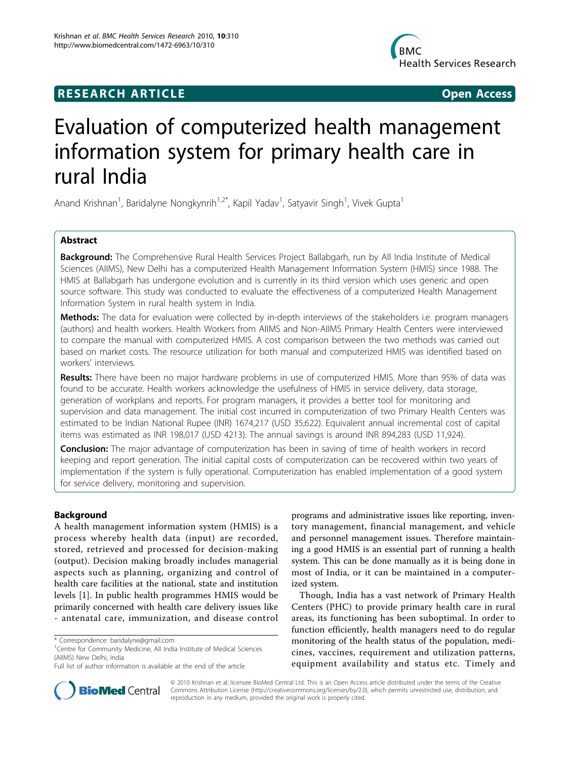## **RESEARCH ARTICLE Example 2018 CONSIDERING ACCESS**



# Evaluation of computerized health management information system for primary health care in rural India

Anand Krishnan<sup>1</sup>, Baridalyne Nongkynrih<sup>1,2\*</sup>, Kapil Yadav<sup>1</sup>, Satyavir Singh<sup>1</sup>, Vivek Gupta<sup>1</sup>

## Abstract

Background: The Comprehensive Rural Health Services Project Ballabgarh, run by All India Institute of Medical Sciences (AIIMS), New Delhi has a computerized Health Management Information System (HMIS) since 1988. The HMIS at Ballabgarh has undergone evolution and is currently in its third version which uses generic and open source software. This study was conducted to evaluate the effectiveness of a computerized Health Management Information System in rural health system in India.

Methods: The data for evaluation were collected by in-depth interviews of the stakeholders i.e. program managers (authors) and health workers. Health Workers from AIIMS and Non-AIIMS Primary Health Centers were interviewed to compare the manual with computerized HMIS. A cost comparison between the two methods was carried out based on market costs. The resource utilization for both manual and computerized HMIS was identified based on workers' interviews.

Results: There have been no major hardware problems in use of computerized HMIS. More than 95% of data was found to be accurate. Health workers acknowledge the usefulness of HMIS in service delivery, data storage, generation of workplans and reports. For program managers, it provides a better tool for monitoring and supervision and data management. The initial cost incurred in computerization of two Primary Health Centers was estimated to be Indian National Rupee (INR) 1674,217 (USD 35,622). Equivalent annual incremental cost of capital items was estimated as INR 198,017 (USD 4213). The annual savings is around INR 894,283 (USD 11,924).

**Conclusion:** The major advantage of computerization has been in saving of time of health workers in record keeping and report generation. The initial capital costs of computerization can be recovered within two years of implementation if the system is fully operational. Computerization has enabled implementation of a good system for service delivery, monitoring and supervision.

## Background

A health management information system (HMIS) is a process whereby health data (input) are recorded, stored, retrieved and processed for decision-making (output). Decision making broadly includes managerial aspects such as planning, organizing and control of health care facilities at the national, state and institution levels [[1\]](#page-11-0). In public health programmes HMIS would be primarily concerned with health care delivery issues like - antenatal care, immunization, and disease control

programs and administrative issues like reporting, inventory management, financial management, and vehicle and personnel management issues. Therefore maintaining a good HMIS is an essential part of running a health system. This can be done manually as it is being done in most of India, or it can be maintained in a computerized system.

Though, India has a vast network of Primary Health Centers (PHC) to provide primary health care in rural areas, its functioning has been suboptimal. In order to function efficiently, health managers need to do regular monitoring of the health status of the population, medicines, vaccines, requirement and utilization patterns, equipment availability and status etc. Timely and



© 2010 Krishnan et al; licensee BioMed Central Ltd. This is an Open Access article distributed under the terms of the Creative Commons Attribution License [\(http://creativecommons.org/licenses/by/2.0](http://creativecommons.org/licenses/by/2.0)), which permits unrestricted use, distribution, and reproduction in any medium, provided the original work is properly cited.

<sup>\*</sup> Correspondence: [baridalyne@gmail.com](mailto:baridalyne@gmail.com)

<sup>&</sup>lt;sup>1</sup>Centre for Community Medicine, All India Institute of Medical Sciences (AIIMS) New Delhi, India

Full list of author information is available at the end of the article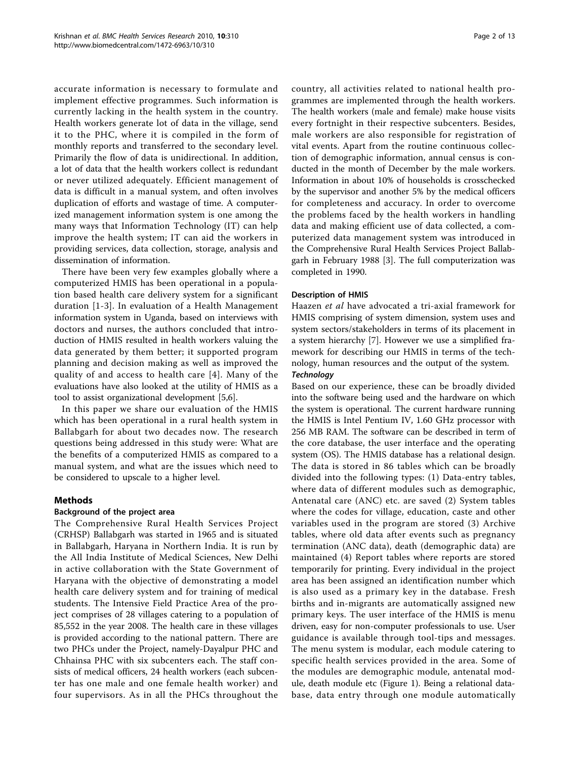accurate information is necessary to formulate and implement effective programmes. Such information is currently lacking in the health system in the country. Health workers generate lot of data in the village, send it to the PHC, where it is compiled in the form of monthly reports and transferred to the secondary level. Primarily the flow of data is unidirectional. In addition, a lot of data that the health workers collect is redundant or never utilized adequately. Efficient management of data is difficult in a manual system, and often involves duplication of efforts and wastage of time. A computerized management information system is one among the many ways that Information Technology (IT) can help improve the health system; IT can aid the workers in providing services, data collection, storage, analysis and dissemination of information.

There have been very few examples globally where a computerized HMIS has been operational in a population based health care delivery system for a significant duration [[1](#page-11-0)-[3](#page-11-0)]. In evaluation of a Health Management information system in Uganda, based on interviews with doctors and nurses, the authors concluded that introduction of HMIS resulted in health workers valuing the data generated by them better; it supported program planning and decision making as well as improved the quality of and access to health care [[4\]](#page-11-0). Many of the evaluations have also looked at the utility of HMIS as a tool to assist organizational development [\[5,6](#page-11-0)].

In this paper we share our evaluation of the HMIS which has been operational in a rural health system in Ballabgarh for about two decades now. The research questions being addressed in this study were: What are the benefits of a computerized HMIS as compared to a manual system, and what are the issues which need to be considered to upscale to a higher level.

## Methods

## Background of the project area

The Comprehensive Rural Health Services Project (CRHSP) Ballabgarh was started in 1965 and is situated in Ballabgarh, Haryana in Northern India. It is run by the All India Institute of Medical Sciences, New Delhi in active collaboration with the State Government of Haryana with the objective of demonstrating a model health care delivery system and for training of medical students. The Intensive Field Practice Area of the project comprises of 28 villages catering to a population of 85,552 in the year 2008. The health care in these villages is provided according to the national pattern. There are two PHCs under the Project, namely-Dayalpur PHC and Chhainsa PHC with six subcenters each. The staff consists of medical officers, 24 health workers (each subcenter has one male and one female health worker) and four supervisors. As in all the PHCs throughout the country, all activities related to national health programmes are implemented through the health workers. The health workers (male and female) make house visits every fortnight in their respective subcenters. Besides, male workers are also responsible for registration of vital events. Apart from the routine continuous collection of demographic information, annual census is conducted in the month of December by the male workers. Information in about 10% of households is crosschecked by the supervisor and another 5% by the medical officers for completeness and accuracy. In order to overcome the problems faced by the health workers in handling data and making efficient use of data collected, a computerized data management system was introduced in the Comprehensive Rural Health Services Project Ballabgarh in February 1988 [\[3](#page-11-0)]. The full computerization was completed in 1990.

#### Description of HMIS

Haazen et al have advocated a tri-axial framework for HMIS comprising of system dimension, system uses and system sectors/stakeholders in terms of its placement in a system hierarchy [\[7](#page-11-0)]. However we use a simplified framework for describing our HMIS in terms of the technology, human resources and the output of the system. **Technology** 

Based on our experience, these can be broadly divided into the software being used and the hardware on which the system is operational. The current hardware running the HMIS is Intel Pentium IV, 1.60 GHz processor with 256 MB RAM. The software can be described in term of the core database, the user interface and the operating system (OS). The HMIS database has a relational design. The data is stored in 86 tables which can be broadly divided into the following types: (1) Data-entry tables, where data of different modules such as demographic, Antenatal care (ANC) etc. are saved (2) System tables where the codes for village, education, caste and other variables used in the program are stored (3) Archive tables, where old data after events such as pregnancy termination (ANC data), death (demographic data) are maintained (4) Report tables where reports are stored temporarily for printing. Every individual in the project area has been assigned an identification number which is also used as a primary key in the database. Fresh births and in-migrants are automatically assigned new primary keys. The user interface of the HMIS is menu driven, easy for non-computer professionals to use. User guidance is available through tool-tips and messages. The menu system is modular, each module catering to specific health services provided in the area. Some of the modules are demographic module, antenatal module, death module etc (Figure [1](#page-2-0)). Being a relational database, data entry through one module automatically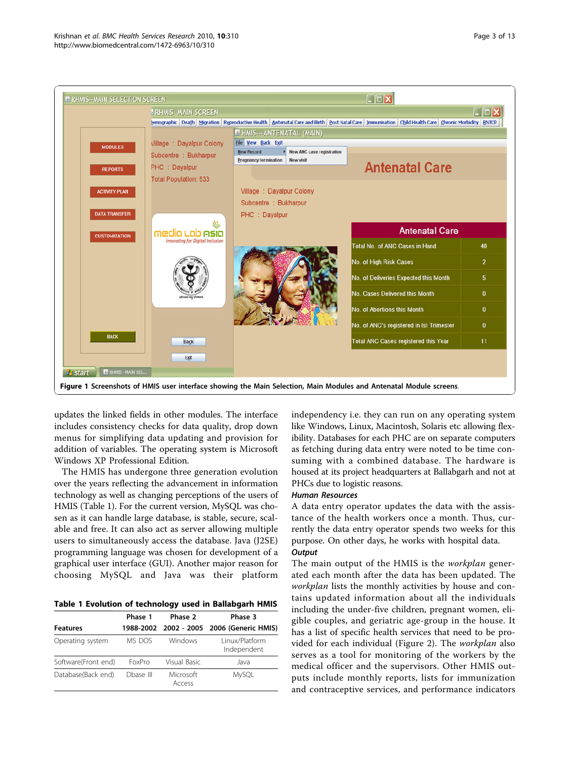

<span id="page-2-0"></span>

updates the linked fields in other modules. The interface includes consistency checks for data quality, drop down menus for simplifying data updating and provision for addition of variables. The operating system is Microsoft Windows XP Professional Edition.

The HMIS has undergone three generation evolution over the years reflecting the advancement in information technology as well as changing perceptions of the users of HMIS (Table 1). For the current version, MySQL was chosen as it can handle large database, is stable, secure, scalable and free. It can also act as server allowing multiple users to simultaneously access the database. Java (J2SE) programming language was chosen for development of a graphical user interface (GUI). Another major reason for choosing MySQL and Java was their platform

Table 1 Evolution of technology used in Ballabgarh HMIS

|                     | Phase 1   | Phase 2             | Phase 3                                   |
|---------------------|-----------|---------------------|-------------------------------------------|
| <b>Features</b>     |           |                     | 1988-2002 2002 - 2005 2006 (Generic HMIS) |
| Operating system    | MS DOS    | Windows             | Linux/Platform<br>Independent             |
| Software(Front end) | FoxPro    | Visual Basic        | Java                                      |
| Database(Back end)  | Dhase III | Microsoft<br>Access | MySQL                                     |

independency i.e. they can run on any operating system like Windows, Linux, Macintosh, Solaris etc allowing flexibility. Databases for each PHC are on separate computers as fetching during data entry were noted to be time consuming with a combined database. The hardware is housed at its project headquarters at Ballabgarh and not at PHCs due to logistic reasons.

#### Human Resources

A data entry operator updates the data with the assistance of the health workers once a month. Thus, currently the data entry operator spends two weeks for this purpose. On other days, he works with hospital data. **Output** 

The main output of the HMIS is the *workplan* generated each month after the data has been updated. The workplan lists the monthly activities by house and contains updated information about all the individuals including the under-five children, pregnant women, eligible couples, and geriatric age-group in the house. It has a list of specific health services that need to be provided for each individual (Figure [2](#page-3-0)). The workplan also serves as a tool for monitoring of the workers by the medical officer and the supervisors. Other HMIS outputs include monthly reports, lists for immunization and contraceptive services, and performance indicators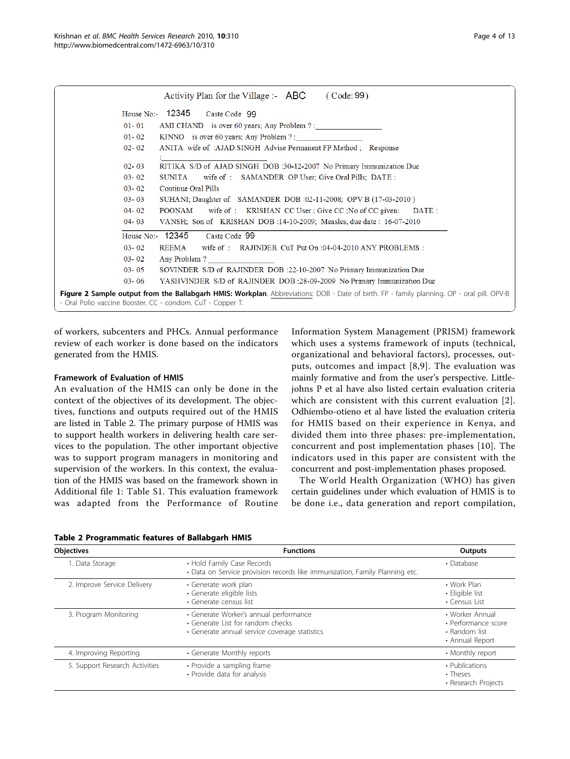```
Activity Plan for the Village :- ABC
                                                                        (Code: 99)
                House No:- 12345
                                       Caste Code 99
                 01 - 01AMI CHAND is over 60 years; Any Problem ?:
                 01 - 02KINNO is over 60 years; Any Problem ?:
                 02 - 02ANITA wife of :AJAD SINGH Advise Permanent FP Method ; Response
                 02 - 03RITIKA S/D of AJAD SINGH DOB :30-12-2007 No Primary Immunization Due
                 03 - 02wife of : SAMANDER OP User; Give Oral Pills; DATE :
                          SUNITA
                 03 - 02Continue Oral Pills
                 03 - 03SUHANI; Daughter of SAMANDER DOB :02-11-2008; OPV B (17-03-2010)
                 04 - 02POONAM
                                        wife of : KRISHAN CC User ; Give CC ; No of CC given:
                                                                                               DATE:
                 04 - 03VANSH; Son of KRISHAN DOB :14-10-2009; Measles, due date : 16-07-2010
                House No:- 12345
                                       Caste Code 99
                 03 - 02REEMA
                                      wife of : RAJINDER CuT Put On :04-04-2010 ANY PROBLEMS :
                 03 - 02Any Problem?
                 03 - 05SOVINDER S/D of RAJINDER DOB :22-10-2007 No Primary Immunization Due
                 03 - 06YASHVINDER S/D of RAJINDER DOB :28-09-2009 No Primary Immunization Due
Figure 2 Sample output from the Ballabgarh HMIS: Workplan. Abbreviations: DOB - Date of birth. FP - family planning. OP - oral pill. OPV-B
- Oral Polio vaccine Booster. CC - condom. CuT - Copper T.
```
of workers, subcenters and PHCs. Annual performance review of each worker is done based on the indicators generated from the HMIS.

#### Framework of Evaluation of HMIS

An evaluation of the HMIS can only be done in the context of the objectives of its development. The objectives, functions and outputs required out of the HMIS are listed in Table 2. The primary purpose of HMIS was to support health workers in delivering health care services to the population. The other important objective was to support program managers in monitoring and supervision of the workers. In this context, the evaluation of the HMIS was based on the framework shown in Additional file [1:](#page-11-0) Table S1. This evaluation framework was adapted from the Performance of Routine Information System Management (PRISM) framework which uses a systems framework of inputs (technical, organizational and behavioral factors), processes, outputs, outcomes and impact [[8,9](#page-11-0)]. The evaluation was mainly formative and from the user's perspective. Littlejohns P et al have also listed certain evaluation criteria which are consistent with this current evaluation [[2\]](#page-11-0). Odhiembo-otieno et al have listed the evaluation criteria for HMIS based on their experience in Kenya, and divided them into three phases: pre-implementation, concurrent and post implementation phases [\[10\]](#page-11-0). The indicators used in this paper are consistent with the concurrent and post-implementation phases proposed.

The World Health Organization (WHO) has given certain guidelines under which evaluation of HMIS is to be done i.e., data generation and report compilation,

| <b>Objectives</b>              | <b>Functions</b>                                                                                                             | Outputs                                                                    |  |
|--------------------------------|------------------------------------------------------------------------------------------------------------------------------|----------------------------------------------------------------------------|--|
| 1. Data Storage                | • Hold Family Case Records<br>· Data on Service provision records like immunization, Family Planning etc.                    | • Database                                                                 |  |
| 2. Improve Service Delivery    | • Generate work plan<br>· Generate eligible lists<br>• Generate census list                                                  | • Work Plan<br>· Eligible list<br>$\cdot$ Census List                      |  |
| 3. Program Monitoring          | • Generate Worker's annual performance<br>• Generate List for random checks<br>· Generate annual service coverage statistics | • Worker Annual<br>• Performance score<br>• Random list<br>• Annual Report |  |
| 4. Improving Reporting         | • Generate Monthly reports                                                                                                   | • Monthly report                                                           |  |
| 5. Support Research Activities | • Provide a sampling frame<br>• Provide data for analysis                                                                    | • Publications<br>$\cdot$ Theses<br>• Research Projects                    |  |

Table 2 Programmatic features of Ballabgarh HMIS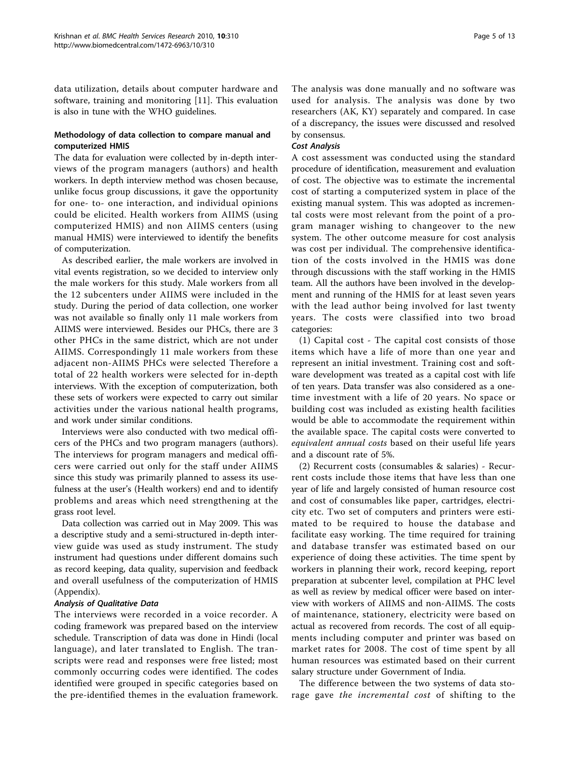data utilization, details about computer hardware and software, training and monitoring [[11\]](#page-11-0). This evaluation is also in tune with the WHO guidelines.

## Methodology of data collection to compare manual and computerized HMIS

The data for evaluation were collected by in-depth interviews of the program managers (authors) and health workers. In depth interview method was chosen because, unlike focus group discussions, it gave the opportunity for one- to- one interaction, and individual opinions could be elicited. Health workers from AIIMS (using computerized HMIS) and non AIIMS centers (using manual HMIS) were interviewed to identify the benefits of computerization.

As described earlier, the male workers are involved in vital events registration, so we decided to interview only the male workers for this study. Male workers from all the 12 subcenters under AIIMS were included in the study. During the period of data collection, one worker was not available so finally only 11 male workers from AIIMS were interviewed. Besides our PHCs, there are 3 other PHCs in the same district, which are not under AIIMS. Correspondingly 11 male workers from these adjacent non-AIIMS PHCs were selected Therefore a total of 22 health workers were selected for in-depth interviews. With the exception of computerization, both these sets of workers were expected to carry out similar activities under the various national health programs, and work under similar conditions.

Interviews were also conducted with two medical officers of the PHCs and two program managers (authors). The interviews for program managers and medical officers were carried out only for the staff under AIIMS since this study was primarily planned to assess its usefulness at the user's (Health workers) end and to identify problems and areas which need strengthening at the grass root level.

Data collection was carried out in May 2009. This was a descriptive study and a semi-structured in-depth interview guide was used as study instrument. The study instrument had questions under different domains such as record keeping, data quality, supervision and feedback and overall usefulness of the computerization of HMIS (Appendix).

#### Analysis of Qualitative Data

The interviews were recorded in a voice recorder. A coding framework was prepared based on the interview schedule. Transcription of data was done in Hindi (local language), and later translated to English. The transcripts were read and responses were free listed; most commonly occurring codes were identified. The codes identified were grouped in specific categories based on the pre-identified themes in the evaluation framework.

The analysis was done manually and no software was used for analysis. The analysis was done by two researchers (AK, KY) separately and compared. In case of a discrepancy, the issues were discussed and resolved by consensus.

#### Cost Analysis

A cost assessment was conducted using the standard procedure of identification, measurement and evaluation of cost. The objective was to estimate the incremental cost of starting a computerized system in place of the existing manual system. This was adopted as incremental costs were most relevant from the point of a program manager wishing to changeover to the new system. The other outcome measure for cost analysis was cost per individual. The comprehensive identification of the costs involved in the HMIS was done through discussions with the staff working in the HMIS team. All the authors have been involved in the development and running of the HMIS for at least seven years with the lead author being involved for last twenty years. The costs were classified into two broad categories:

(1) Capital cost - The capital cost consists of those items which have a life of more than one year and represent an initial investment. Training cost and software development was treated as a capital cost with life of ten years. Data transfer was also considered as a onetime investment with a life of 20 years. No space or building cost was included as existing health facilities would be able to accommodate the requirement within the available space. The capital costs were converted to equivalent annual costs based on their useful life years and a discount rate of 5%.

(2) Recurrent costs (consumables & salaries) - Recurrent costs include those items that have less than one year of life and largely consisted of human resource cost and cost of consumables like paper, cartridges, electricity etc. Two set of computers and printers were estimated to be required to house the database and facilitate easy working. The time required for training and database transfer was estimated based on our experience of doing these activities. The time spent by workers in planning their work, record keeping, report preparation at subcenter level, compilation at PHC level as well as review by medical officer were based on interview with workers of AIIMS and non-AIIMS. The costs of maintenance, stationery, electricity were based on actual as recovered from records. The cost of all equipments including computer and printer was based on market rates for 2008. The cost of time spent by all human resources was estimated based on their current salary structure under Government of India.

The difference between the two systems of data storage gave the incremental cost of shifting to the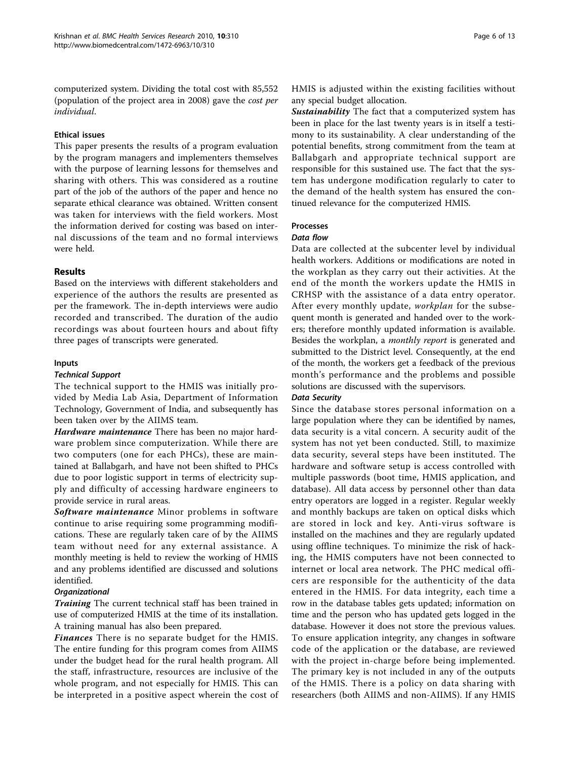computerized system. Dividing the total cost with 85,552 (population of the project area in 2008) gave the cost per individual.

#### Ethical issues

This paper presents the results of a program evaluation by the program managers and implementers themselves with the purpose of learning lessons for themselves and sharing with others. This was considered as a routine part of the job of the authors of the paper and hence no separate ethical clearance was obtained. Written consent was taken for interviews with the field workers. Most the information derived for costing was based on internal discussions of the team and no formal interviews were held.

## Results

Based on the interviews with different stakeholders and experience of the authors the results are presented as per the framework. The in-depth interviews were audio recorded and transcribed. The duration of the audio recordings was about fourteen hours and about fifty three pages of transcripts were generated.

## Inputs

#### Technical Support

The technical support to the HMIS was initially provided by Media Lab Asia, Department of Information Technology, Government of India, and subsequently has been taken over by the AIIMS team.

Hardware maintenance There has been no major hardware problem since computerization. While there are two computers (one for each PHCs), these are maintained at Ballabgarh, and have not been shifted to PHCs due to poor logistic support in terms of electricity supply and difficulty of accessing hardware engineers to provide service in rural areas.

Software maintenance Minor problems in software continue to arise requiring some programming modifications. These are regularly taken care of by the AIIMS team without need for any external assistance. A monthly meeting is held to review the working of HMIS and any problems identified are discussed and solutions identified.

## **Organizational**

Training The current technical staff has been trained in use of computerized HMIS at the time of its installation. A training manual has also been prepared.

Finances There is no separate budget for the HMIS. The entire funding for this program comes from AIIMS under the budget head for the rural health program. All the staff, infrastructure, resources are inclusive of the whole program, and not especially for HMIS. This can be interpreted in a positive aspect wherein the cost of Page 6 of 13

HMIS is adjusted within the existing facilities without any special budget allocation.

Sustainability The fact that a computerized system has been in place for the last twenty years is in itself a testimony to its sustainability. A clear understanding of the potential benefits, strong commitment from the team at Ballabgarh and appropriate technical support are responsible for this sustained use. The fact that the system has undergone modification regularly to cater to the demand of the health system has ensured the continued relevance for the computerized HMIS.

## Processes

## Data flow

Data are collected at the subcenter level by individual health workers. Additions or modifications are noted in the workplan as they carry out their activities. At the end of the month the workers update the HMIS in CRHSP with the assistance of a data entry operator. After every monthly update, workplan for the subsequent month is generated and handed over to the workers; therefore monthly updated information is available. Besides the workplan, a *monthly report* is generated and submitted to the District level. Consequently, at the end of the month, the workers get a feedback of the previous month's performance and the problems and possible solutions are discussed with the supervisors.

## Data Security

Since the database stores personal information on a large population where they can be identified by names, data security is a vital concern. A security audit of the system has not yet been conducted. Still, to maximize data security, several steps have been instituted. The hardware and software setup is access controlled with multiple passwords (boot time, HMIS application, and database). All data access by personnel other than data entry operators are logged in a register. Regular weekly and monthly backups are taken on optical disks which are stored in lock and key. Anti-virus software is installed on the machines and they are regularly updated using offline techniques. To minimize the risk of hacking, the HMIS computers have not been connected to internet or local area network. The PHC medical officers are responsible for the authenticity of the data entered in the HMIS. For data integrity, each time a row in the database tables gets updated; information on time and the person who has updated gets logged in the database. However it does not store the previous values. To ensure application integrity, any changes in software code of the application or the database, are reviewed with the project in-charge before being implemented. The primary key is not included in any of the outputs of the HMIS. There is a policy on data sharing with researchers (both AIIMS and non-AIIMS). If any HMIS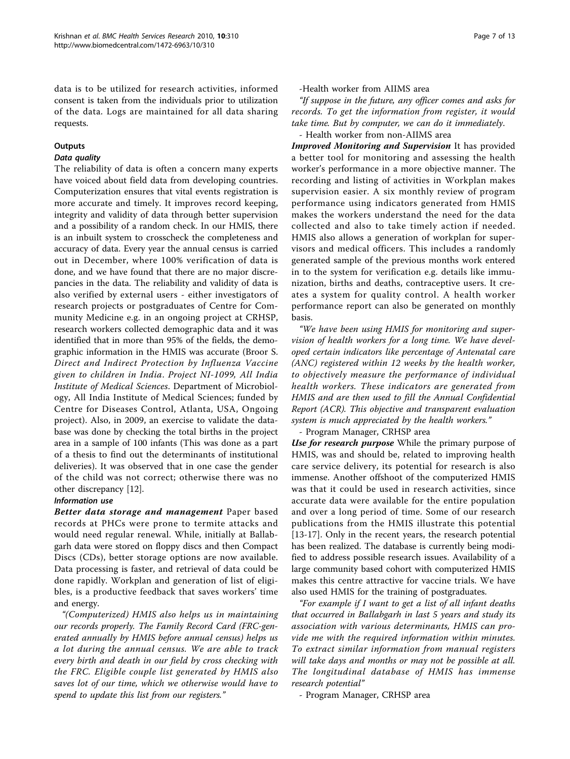data is to be utilized for research activities, informed consent is taken from the individuals prior to utilization of the data. Logs are maintained for all data sharing requests.

#### **Outputs**

#### Data quality

The reliability of data is often a concern many experts have voiced about field data from developing countries. Computerization ensures that vital events registration is more accurate and timely. It improves record keeping, integrity and validity of data through better supervision and a possibility of a random check. In our HMIS, there is an inbuilt system to crosscheck the completeness and accuracy of data. Every year the annual census is carried out in December, where 100% verification of data is done, and we have found that there are no major discrepancies in the data. The reliability and validity of data is also verified by external users - either investigators of research projects or postgraduates of Centre for Community Medicine e.g. in an ongoing project at CRHSP, research workers collected demographic data and it was identified that in more than 95% of the fields, the demographic information in the HMIS was accurate (Broor S. Direct and Indirect Protection by Influenza Vaccine given to children in India. Project NI-1099, All India Institute of Medical Sciences. Department of Microbiology, All India Institute of Medical Sciences; funded by Centre for Diseases Control, Atlanta, USA, Ongoing project). Also, in 2009, an exercise to validate the database was done by checking the total births in the project area in a sample of 100 infants (This was done as a part of a thesis to find out the determinants of institutional deliveries). It was observed that in one case the gender of the child was not correct; otherwise there was no other discrepancy [\[12](#page-11-0)].

#### Information use

Better data storage and management Paper based records at PHCs were prone to termite attacks and would need regular renewal. While, initially at Ballabgarh data were stored on floppy discs and then Compact Discs (CDs), better storage options are now available. Data processing is faster, and retrieval of data could be done rapidly. Workplan and generation of list of eligibles, is a productive feedback that saves workers' time and energy.

"(Computerized) HMIS also helps us in maintaining our records properly. The Family Record Card (FRC-generated annually by HMIS before annual census) helps us a lot during the annual census. We are able to track every birth and death in our field by cross checking with the FRC. Eligible couple list generated by HMIS also saves lot of our time, which we otherwise would have to spend to update this list from our registers."

-Health worker from AIIMS area

"If suppose in the future, any officer comes and asks for records. To get the information from register, it would take time. But by computer, we can do it immediately.

- Health worker from non-AIIMS area

Improved Monitoring and Supervision It has provided a better tool for monitoring and assessing the health worker's performance in a more objective manner. The recording and listing of activities in Workplan makes supervision easier. A six monthly review of program performance using indicators generated from HMIS makes the workers understand the need for the data collected and also to take timely action if needed. HMIS also allows a generation of workplan for supervisors and medical officers. This includes a randomly generated sample of the previous months work entered in to the system for verification e.g. details like immunization, births and deaths, contraceptive users. It creates a system for quality control. A health worker performance report can also be generated on monthly basis.

"We have been using HMIS for monitoring and supervision of health workers for a long time. We have developed certain indicators like percentage of Antenatal care (ANC) registered within 12 weeks by the health worker, to objectively measure the performance of individual health workers. These indicators are generated from HMIS and are then used to fill the Annual Confidential Report (ACR). This objective and transparent evaluation system is much appreciated by the health workers."

- Program Manager, CRHSP area

Use for research purpose While the primary purpose of HMIS, was and should be, related to improving health care service delivery, its potential for research is also immense. Another offshoot of the computerized HMIS was that it could be used in research activities, since accurate data were available for the entire population and over a long period of time. Some of our research publications from the HMIS illustrate this potential [[13-17](#page-11-0)]. Only in the recent years, the research potential has been realized. The database is currently being modified to address possible research issues. Availability of a large community based cohort with computerized HMIS makes this centre attractive for vaccine trials. We have also used HMIS for the training of postgraduates.

"For example if I want to get a list of all infant deaths that occurred in Ballabgarh in last 5 years and study its association with various determinants, HMIS can provide me with the required information within minutes. To extract similar information from manual registers will take days and months or may not be possible at all. The longitudinal database of HMIS has immense research potential"

- Program Manager, CRHSP area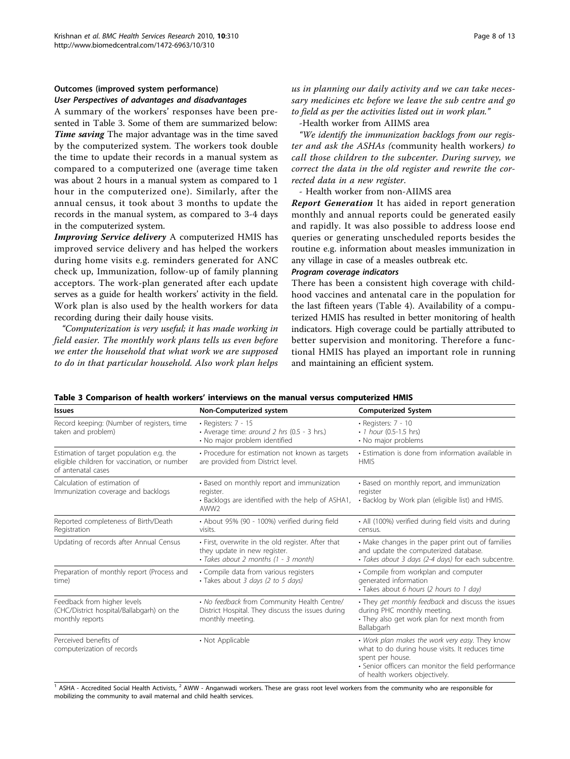## Outcomes (improved system performance) User Perspectives of advantages and disadvantages

A summary of the workers' responses have been presented in Table 3. Some of them are summarized below: Time saving The major advantage was in the time saved by the computerized system. The workers took double the time to update their records in a manual system as compared to a computerized one (average time taken was about 2 hours in a manual system as compared to 1 hour in the computerized one). Similarly, after the annual census, it took about 3 months to update the records in the manual system, as compared to 3-4 days in the computerized system.

Improving Service delivery A computerized HMIS has improved service delivery and has helped the workers during home visits e.g. reminders generated for ANC check up, Immunization, follow-up of family planning acceptors. The work-plan generated after each update serves as a guide for health workers' activity in the field. Work plan is also used by the health workers for data recording during their daily house visits.

"Computerization is very useful; it has made working in field easier. The monthly work plans tells us even before we enter the household that what work we are supposed to do in that particular household. Also work plan helps us in planning our daily activity and we can take necessary medicines etc before we leave the sub centre and go to field as per the activities listed out in work plan."

-Health worker from AIIMS area

"We identify the immunization backlogs from our register and ask the ASHAs (community health workers) to call those children to the subcenter. During survey, we correct the data in the old register and rewrite the corrected data in a new register.

- Health worker from non-AIIMS area

Report Generation It has aided in report generation monthly and annual reports could be generated easily and rapidly. It was also possible to address loose end queries or generating unscheduled reports besides the routine e.g. information about measles immunization in any village in case of a measles outbreak etc.

#### Program coverage indicators

There has been a consistent high coverage with childhood vaccines and antenatal care in the population for the last fifteen years (Table [4\)](#page-8-0). Availability of a computerized HMIS has resulted in better monitoring of health indicators. High coverage could be partially attributed to better supervision and monitoring. Therefore a functional HMIS has played an important role in running and maintaining an efficient system.

Table 3 Comparison of health workers' interviews on the manual versus computerized HMIS

| Non-Computerized system<br>Issues                                                                                                                                             |                                                                                                                                  | <b>Computerized System</b>                                                                                                                                                                                      |  |  |
|-------------------------------------------------------------------------------------------------------------------------------------------------------------------------------|----------------------------------------------------------------------------------------------------------------------------------|-----------------------------------------------------------------------------------------------------------------------------------------------------------------------------------------------------------------|--|--|
| Record keeping: (Number of registers, time<br>$\cdot$ Registers: 7 - 15<br>• Average time: around 2 hrs (0.5 - 3 hrs.)<br>taken and problem)<br>• No major problem identified |                                                                                                                                  | $\cdot$ Registers: 7 - 10<br>• 1 hour (0.5-1.5 hrs)<br>• No major problems                                                                                                                                      |  |  |
| Estimation of target population e.g. the<br>eligible children for vaccination, or number<br>of antenatal cases                                                                | • Procedure for estimation not known as targets<br>are provided from District level.                                             | • Estimation is done from information available in<br><b>HMIS</b>                                                                                                                                               |  |  |
| Calculation of estimation of<br>Immunization coverage and backlogs                                                                                                            | • Based on monthly report and immunization<br>register.<br>· Backlogs are identified with the help of ASHA1,<br>AWW <sub>2</sub> | • Based on monthly report, and immunization<br>register<br>• Backlog by Work plan (eligible list) and HMIS.                                                                                                     |  |  |
| Reported completeness of Birth/Death<br>Registration                                                                                                                          | · About 95% (90 - 100%) verified during field<br>visits.                                                                         | • All (100%) verified during field visits and during<br>census.                                                                                                                                                 |  |  |
| Updating of records after Annual Census                                                                                                                                       | · First, overwrite in the old register. After that<br>they update in new register.<br>· Takes about 2 months (1 - 3 month)       | • Make changes in the paper print out of families<br>and update the computerized database.<br>· Takes about 3 days (2-4 days) for each subcentre.                                                               |  |  |
| Preparation of monthly report (Process and<br>time)                                                                                                                           | • Compile data from various registers<br>· Takes about 3 days (2 to 5 days)                                                      | • Compile from workplan and computer<br>generated information<br>· Takes about 6 hours (2 hours to 1 day)                                                                                                       |  |  |
| Feedback from higher levels<br>(CHC/District hospital/Ballabgarh) on the<br>monthly reports                                                                                   | • No feedback from Community Health Centre/<br>District Hospital. They discuss the issues during<br>monthly meeting.             | • They get monthly feedback and discuss the issues<br>during PHC monthly meeting.<br>• They also get work plan for next month from<br>Ballabgarh                                                                |  |  |
| Perceived benefits of<br>computerization of records                                                                                                                           | • Not Applicable                                                                                                                 | • Work plan makes the work very easy. They know<br>what to do during house visits. It reduces time<br>spent per house.<br>• Senior officers can monitor the field performance<br>of health workers objectively. |  |  |

<sup>1</sup> ASHA - Accredited Social Health Activists, <sup>2</sup> AWW - Anganwadi workers. These are grass root level workers from the community who are responsible for mobilizing the community to avail maternal and child health services.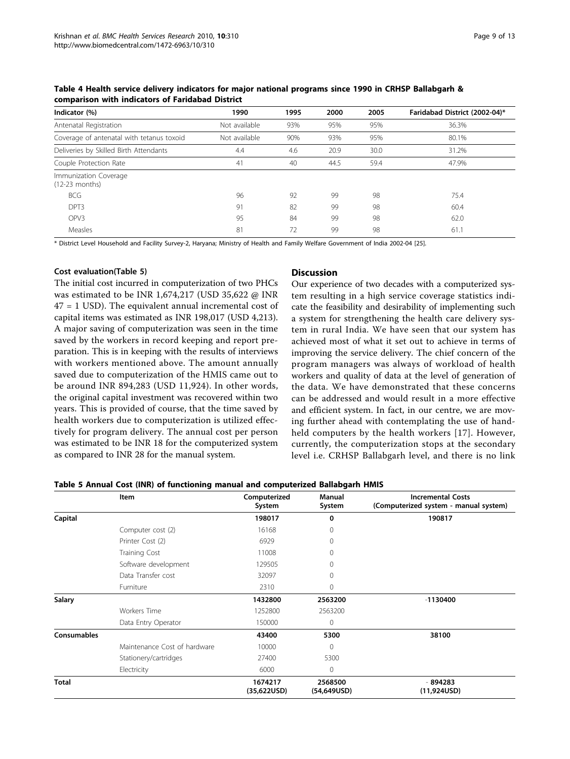| Page 9 of 13 |  |  |
|--------------|--|--|
|--------------|--|--|

<span id="page-8-0"></span>Table 4 Health service delivery indicators for major national programs since 1990 in CRHSP Ballabgarh & comparison with indicators of Faridabad District

| Indicator (%)                             | 1990          | 1995 | 2000 | 2005 | Faridabad District (2002-04)* |
|-------------------------------------------|---------------|------|------|------|-------------------------------|
| Antenatal Registration                    | Not available | 93%  | 95%  | 95%  | 36.3%                         |
| Coverage of antenatal with tetanus toxoid | Not available | 90%  | 93%  | 95%  | 80.1%                         |
| Deliveries by Skilled Birth Attendants    | 4.4           | 4.6  | 20.9 | 30.0 | 31.2%                         |
| Couple Protection Rate                    | 41            | 40   | 44.5 | 59.4 | 47.9%                         |
| Immunization Coverage<br>$(12-23$ months) |               |      |      |      |                               |
| <b>BCG</b>                                | 96            | 92   | 99   | 98   | 75.4                          |
| DPT3                                      | 91            | 82   | 99   | 98   | 60.4                          |
| OPV <sub>3</sub>                          | 95            | 84   | 99   | 98   | 62.0                          |
| Measles                                   | 81            | 72   | 99   | 98   | 61.1                          |

\* District Level Household and Facility Survey-2, Haryana; Ministry of Health and Family Welfare Government of India 2002-04 [\[25](#page-11-0)].

## Cost evaluation(Table 5)

The initial cost incurred in computerization of two PHCs was estimated to be INR 1,674,217 (USD 35,622 @ INR 47 = 1 USD). The equivalent annual incremental cost of capital items was estimated as INR 198,017 (USD 4,213). A major saving of computerization was seen in the time saved by the workers in record keeping and report preparation. This is in keeping with the results of interviews with workers mentioned above. The amount annually saved due to computerization of the HMIS came out to be around INR 894,283 (USD 11,924). In other words, the original capital investment was recovered within two years. This is provided of course, that the time saved by health workers due to computerization is utilized effectively for program delivery. The annual cost per person was estimated to be INR 18 for the computerized system as compared to INR 28 for the manual system.

#### **Discussion**

Our experience of two decades with a computerized system resulting in a high service coverage statistics indicate the feasibility and desirability of implementing such a system for strengthening the health care delivery system in rural India. We have seen that our system has achieved most of what it set out to achieve in terms of improving the service delivery. The chief concern of the program managers was always of workload of health workers and quality of data at the level of generation of the data. We have demonstrated that these concerns can be addressed and would result in a more effective and efficient system. In fact, in our centre, we are moving further ahead with contemplating the use of handheld computers by the health workers [\[17\]](#page-11-0). However, currently, the computerization stops at the secondary level i.e. CRHSP Ballabgarh level, and there is no link

|               | Item                         | Computerized<br>System | <b>Manual</b><br>System | <b>Incremental Costs</b><br>(Computerized system - manual system) |
|---------------|------------------------------|------------------------|-------------------------|-------------------------------------------------------------------|
| Capital       |                              | 198017                 | 0                       | 190817                                                            |
|               | Computer cost (2)            | 16168                  | $\Omega$                |                                                                   |
|               | Printer Cost (2)             | 6929                   | $\Omega$                |                                                                   |
|               | Training Cost                | 11008                  | 0                       |                                                                   |
|               | Software development         | 129505                 | 0                       |                                                                   |
|               | Data Transfer cost           | 32097                  | $\Omega$                |                                                                   |
|               | Furniture                    | 2310                   | 0                       |                                                                   |
| <b>Salary</b> |                              | 1432800                | 2563200                 | $-1130400$                                                        |
|               | Workers Time                 | 1252800                | 2563200                 |                                                                   |
|               | Data Entry Operator          | 150000                 | 0                       |                                                                   |
| Consumables   |                              | 43400                  | 5300                    | 38100                                                             |
|               | Maintenance Cost of hardware | 10000                  | 0                       |                                                                   |
|               | Stationery/cartridges        | 27400                  | 5300                    |                                                                   |
|               | Electricity                  | 6000                   | 0                       |                                                                   |
| <b>Total</b>  |                              | 1674217<br>(35,622USD) | 2568500<br>(54,649USD)  | $-894283$<br>(11,924USD)                                          |

Table 5 Annual Cost (INR) of functioning manual and computerized Ballabgarh HMIS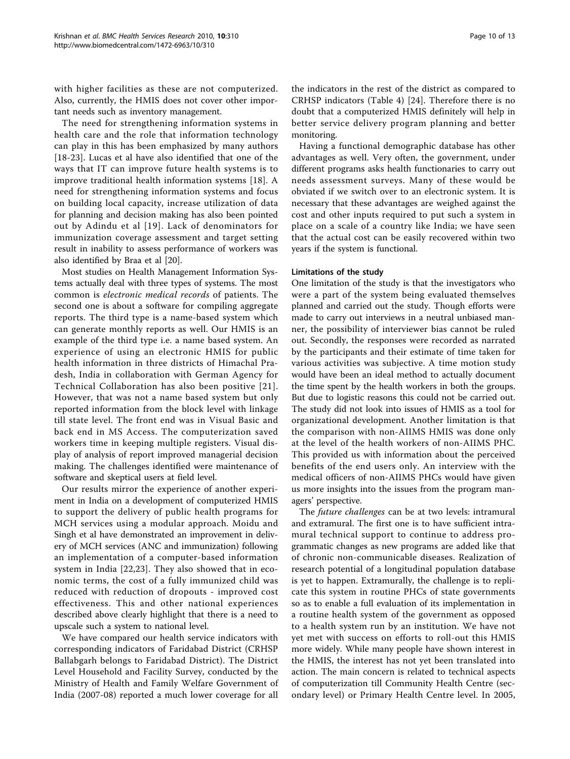with higher facilities as these are not computerized. Also, currently, the HMIS does not cover other important needs such as inventory management.

The need for strengthening information systems in health care and the role that information technology can play in this has been emphasized by many authors [[18](#page-11-0)-[23\]](#page-11-0). Lucas et al have also identified that one of the ways that IT can improve future health systems is to improve traditional health information systems [\[18\]](#page-11-0). A need for strengthening information systems and focus on building local capacity, increase utilization of data for planning and decision making has also been pointed out by Adindu et al [[19\]](#page-11-0). Lack of denominators for immunization coverage assessment and target setting result in inability to assess performance of workers was also identified by Braa et al [\[20](#page-11-0)].

Most studies on Health Management Information Systems actually deal with three types of systems. The most common is electronic medical records of patients. The second one is about a software for compiling aggregate reports. The third type is a name-based system which can generate monthly reports as well. Our HMIS is an example of the third type i.e. a name based system. An experience of using an electronic HMIS for public health information in three districts of Himachal Pradesh, India in collaboration with German Agency for Technical Collaboration has also been positive [[21\]](#page-11-0). However, that was not a name based system but only reported information from the block level with linkage till state level. The front end was in Visual Basic and back end in MS Access. The computerization saved workers time in keeping multiple registers. Visual display of analysis of report improved managerial decision making. The challenges identified were maintenance of software and skeptical users at field level.

Our results mirror the experience of another experiment in India on a development of computerized HMIS to support the delivery of public health programs for MCH services using a modular approach. Moidu and Singh et al have demonstrated an improvement in delivery of MCH services (ANC and immunization) following an implementation of a computer-based information system in India [[22](#page-11-0),[23\]](#page-11-0). They also showed that in economic terms, the cost of a fully immunized child was reduced with reduction of dropouts - improved cost effectiveness. This and other national experiences described above clearly highlight that there is a need to upscale such a system to national level.

We have compared our health service indicators with corresponding indicators of Faridabad District (CRHSP Ballabgarh belongs to Faridabad District). The District Level Household and Facility Survey, conducted by the Ministry of Health and Family Welfare Government of India (2007-08) reported a much lower coverage for all

the indicators in the rest of the district as compared to CRHSP indicators (Table [4](#page-8-0)) [\[24](#page-11-0)]. Therefore there is no doubt that a computerized HMIS definitely will help in better service delivery program planning and better monitoring.

Having a functional demographic database has other advantages as well. Very often, the government, under different programs asks health functionaries to carry out needs assessment surveys. Many of these would be obviated if we switch over to an electronic system. It is necessary that these advantages are weighed against the cost and other inputs required to put such a system in place on a scale of a country like India; we have seen that the actual cost can be easily recovered within two years if the system is functional.

#### Limitations of the study

One limitation of the study is that the investigators who were a part of the system being evaluated themselves planned and carried out the study. Though efforts were made to carry out interviews in a neutral unbiased manner, the possibility of interviewer bias cannot be ruled out. Secondly, the responses were recorded as narrated by the participants and their estimate of time taken for various activities was subjective. A time motion study would have been an ideal method to actually document the time spent by the health workers in both the groups. But due to logistic reasons this could not be carried out. The study did not look into issues of HMIS as a tool for organizational development. Another limitation is that the comparison with non-AIIMS HMIS was done only at the level of the health workers of non-AIIMS PHC. This provided us with information about the perceived benefits of the end users only. An interview with the medical officers of non-AIIMS PHCs would have given us more insights into the issues from the program managers' perspective.

The *future challenges* can be at two levels: intramural and extramural. The first one is to have sufficient intramural technical support to continue to address programmatic changes as new programs are added like that of chronic non-communicable diseases. Realization of research potential of a longitudinal population database is yet to happen. Extramurally, the challenge is to replicate this system in routine PHCs of state governments so as to enable a full evaluation of its implementation in a routine health system of the government as opposed to a health system run by an institution. We have not yet met with success on efforts to roll-out this HMIS more widely. While many people have shown interest in the HMIS, the interest has not yet been translated into action. The main concern is related to technical aspects of computerization till Community Health Centre (secondary level) or Primary Health Centre level. In 2005,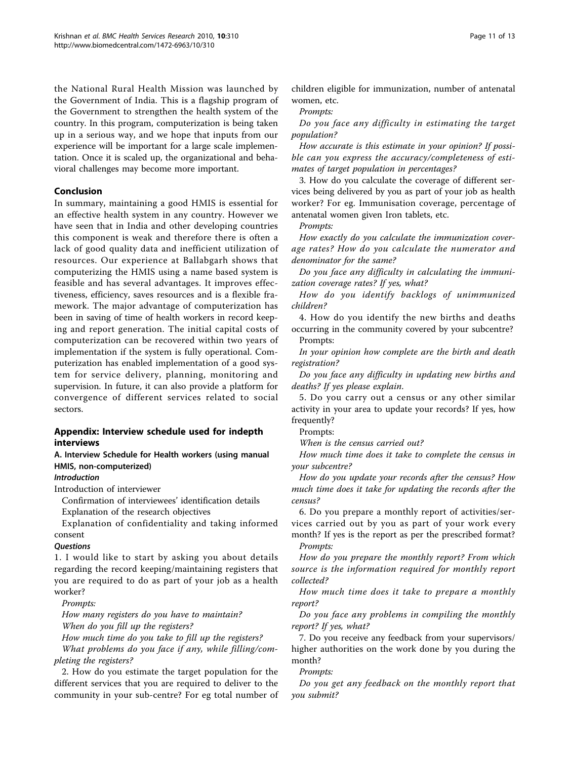the National Rural Health Mission was launched by the Government of India. This is a flagship program of the Government to strengthen the health system of the country. In this program, computerization is being taken up in a serious way, and we hope that inputs from our experience will be important for a large scale implementation. Once it is scaled up, the organizational and behavioral challenges may become more important.

## Conclusion

In summary, maintaining a good HMIS is essential for an effective health system in any country. However we have seen that in India and other developing countries this component is weak and therefore there is often a lack of good quality data and inefficient utilization of resources. Our experience at Ballabgarh shows that computerizing the HMIS using a name based system is feasible and has several advantages. It improves effectiveness, efficiency, saves resources and is a flexible framework. The major advantage of computerization has been in saving of time of health workers in record keeping and report generation. The initial capital costs of computerization can be recovered within two years of implementation if the system is fully operational. Computerization has enabled implementation of a good system for service delivery, planning, monitoring and supervision. In future, it can also provide a platform for convergence of different services related to social sectors.

## Appendix: Interview schedule used for indepth interviews

## A. Interview Schedule for Health workers (using manual HMIS, non-computerized)

Introduction

Introduction of interviewer

Confirmation of interviewees' identification details Explanation of the research objectives

Explanation of confidentiality and taking informed consent

## **Ouestions**

1. I would like to start by asking you about details regarding the record keeping/maintaining registers that you are required to do as part of your job as a health worker?

Prompts:

How many registers do you have to maintain? When do you fill up the registers?

How much time do you take to fill up the registers?

What problems do you face if any, while filling/completing the registers?

2. How do you estimate the target population for the different services that you are required to deliver to the community in your sub-centre? For eg total number of children eligible for immunization, number of antenatal women, etc.

Prompts:

Do you face any difficulty in estimating the target population?

How accurate is this estimate in your opinion? If possible can you express the accuracy/completeness of estimates of target population in percentages?

3. How do you calculate the coverage of different services being delivered by you as part of your job as health worker? For eg. Immunisation coverage, percentage of antenatal women given Iron tablets, etc.

Prompts:

How exactly do you calculate the immunization coverage rates? How do you calculate the numerator and denominator for the same?

Do you face any difficulty in calculating the immunization coverage rates? If yes, what?

How do you identify backlogs of unimmunized children?

4. How do you identify the new births and deaths occurring in the community covered by your subcentre? Prompts:

In your opinion how complete are the birth and death registration?

Do you face any difficulty in updating new births and deaths? If yes please explain.

5. Do you carry out a census or any other similar activity in your area to update your records? If yes, how frequently?

Prompts:

When is the census carried out?

How much time does it take to complete the census in your subcentre?

How do you update your records after the census? How much time does it take for updating the records after the census?

6. Do you prepare a monthly report of activities/services carried out by you as part of your work every month? If yes is the report as per the prescribed format? Prompts:

How do you prepare the monthly report? From which source is the information required for monthly report collected?

How much time does it take to prepare a monthly report?

Do you face any problems in compiling the monthly report? If yes, what?

7. Do you receive any feedback from your supervisors/ higher authorities on the work done by you during the month?

Prompts:

Do you get any feedback on the monthly report that you submit?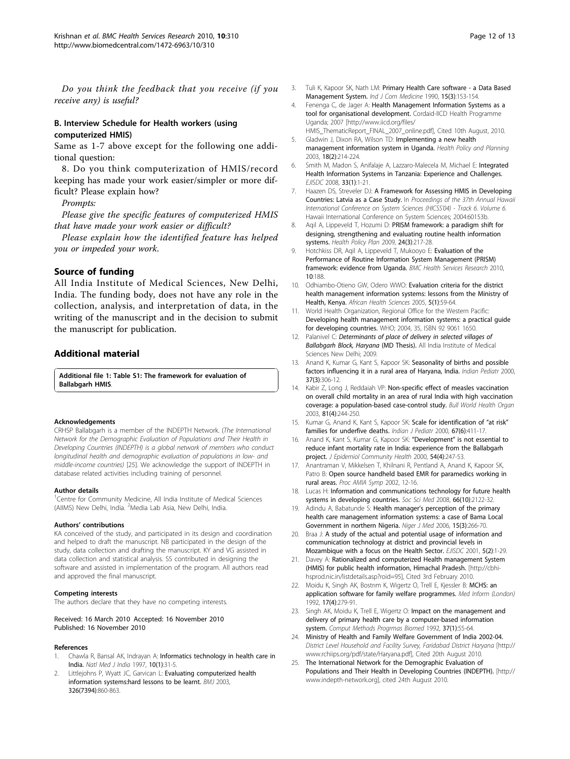<span id="page-11-0"></span>Do you think the feedback that you receive (if you receive any) is useful?

#### B. Interview Schedule for Health workers (using computerized HMIS)

Same as 1-7 above except for the following one additional question:

8. Do you think computerization of HMIS/record keeping has made your work easier/simpler or more difficult? Please explain how?

Prompts:

Please give the specific features of computerized HMIS that have made your work easier or difficult?

Please explain how the identified feature has helped you or impeded your work.

## Source of funding

All India Institute of Medical Sciences, New Delhi, India. The funding body, does not have any role in the collection, analysis, and interpretation of data, in the writing of the manuscript and in the decision to submit the manuscript for publication.

#### Additional material

[Additional file 1: T](http://www.biomedcentral.com/content/supplementary/1472-6963-10-310-S1.DOC)able S1: The framework for evaluation of Ballabgarh HMIS.

#### Acknowledgements

CRHSP Ballabgarh is a member of the INDEPTH Network. (The International Network for the Demographic Evaluation of Populations and Their Health in Developing Countries (INDEPTH) is a global network of members who conduct longitudinal health and demographic evaluation of populations in low- and middle-income countries) [25]. We acknowledge the support of INDEPTH in database related activities including training of personnel.

#### Author details

<sup>1</sup>Centre for Community Medicine, All India Institute of Medical Sciences (AIIMS) New Delhi, India. <sup>2</sup>Media Lab Asia, New Delhi, India.

#### Authors' contributions

KA conceived of the study, and participated in its design and coordination and helped to draft the manuscript. NB participated in the design of the study, data collection and drafting the manuscript. KY and VG assisted in data collection and statistical analysis. SS contributed in designing the software and assisted in implementation of the program. All authors read and approved the final manuscript.

#### Competing interests

The authors declare that they have no competing interests.

#### Received: 16 March 2010 Accepted: 16 November 2010 Published: 16 November 2010

#### References

- Chawla R, Bansal AK, Indrayan A: [Informatics technology in health care in](http://www.ncbi.nlm.nih.gov/pubmed/9069707?dopt=Abstract) [India.](http://www.ncbi.nlm.nih.gov/pubmed/9069707?dopt=Abstract) Natl Med J India 1997, 10(1):31-5.
- Littlejohns P, Wyatt JC, Garvican L: [Evaluating computerized health](http://www.ncbi.nlm.nih.gov/pubmed/12702622?dopt=Abstract) [information systems:hard lessons to be learnt.](http://www.ncbi.nlm.nih.gov/pubmed/12702622?dopt=Abstract) BMJ 2003, 326(7394):860-863.
- 4. Fenenga C, de Jager A: Health Management Information Systems as a tool for organisational development. Cordaid-IICD Health Programme Uganda; 2007 [\[http://www.iicd.org/files/](http://www.iicd.org/files/HMIS_ThematicReport_FINAL_2007_online.pdf)
- [HMIS\\_ThematicReport\\_FINAL\\_2007\\_online.pdf\]](http://www.iicd.org/files/HMIS_ThematicReport_FINAL_2007_online.pdf), Cited 10th August, 2010. 5. Gladwin J, Dixon RA, Wilson TD: [Implementing a new health](http://www.ncbi.nlm.nih.gov/pubmed/12740326?dopt=Abstract)
- [management information system in Uganda.](http://www.ncbi.nlm.nih.gov/pubmed/12740326?dopt=Abstract) Health Policy and Planning 2003, 18(2):214-224.
- 6. Smith M, Madon S, Anifalaje A, Lazzaro-Malecela M, Michael E: Integrated Health Information Systems in Tanzania: Experience and Challenges. EJISDC 2008, 33(1):1-21.
- 7. Haazen DS, Streveler DJ: A Framework for Assessing HMIS in Developing Countries: Latvia as a Case Study. In Proceedings of the 37th Annual Hawaii International Conference on System Sciences (HICSS'04) - Track 6. Volume 6. Hawaii International Conference on System Sciences; 2004:60153b.
- 8. Aqil A, Lippeveld T, Hozumi D: [PRISM framework: a paradigm shift for](http://www.ncbi.nlm.nih.gov/pubmed/19304786?dopt=Abstract) [designing, strengthening and evaluating routine health information](http://www.ncbi.nlm.nih.gov/pubmed/19304786?dopt=Abstract) [systems.](http://www.ncbi.nlm.nih.gov/pubmed/19304786?dopt=Abstract) Health Policy Plan 2009, 24(3):217-28.
- 9. Hotchkiss DR, Aqil A, Lippeveld T, Mukooyo E: [Evaluation of the](http://www.ncbi.nlm.nih.gov/pubmed/20598151?dopt=Abstract) [Performance of Routine Information System Management \(PRISM\)](http://www.ncbi.nlm.nih.gov/pubmed/20598151?dopt=Abstract) [framework: evidence from Uganda.](http://www.ncbi.nlm.nih.gov/pubmed/20598151?dopt=Abstract) BMC Health Services Research 2010, 10:188.
- 10. Odhiambo-Otieno GW, Odero WWO: [Evaluation criteria for the district](http://www.ncbi.nlm.nih.gov/pubmed/15843133?dopt=Abstract) [health management information systems: lessons from the Ministry of](http://www.ncbi.nlm.nih.gov/pubmed/15843133?dopt=Abstract) [Health, Kenya.](http://www.ncbi.nlm.nih.gov/pubmed/15843133?dopt=Abstract) African Health Sciences 2005, 5(1):59-64.
- 11. World Health Organization, Regional Office for the Western Pacific: Developing health management information systems: a practical guide for developing countries. WHO; 2004, 35, ISBN 92 9061 1650.
- 12. Palanivel C: Determinants of place of delivery in selected villages of Ballabgarh Block, Haryana (MD Thesis). All India Institute of Medical Sciences New Delhi; 2009.
- 13. Anand K, Kumar G, Kant S, Kapoor SK: [Seasonality of births and possible](http://www.ncbi.nlm.nih.gov/pubmed/10750074?dopt=Abstract) [factors influencing it in a rural area of Haryana, India.](http://www.ncbi.nlm.nih.gov/pubmed/10750074?dopt=Abstract) Indian Pediatr 2000, 37(3):306-12.
- 14. Kabir Z, Long J, Reddaiah VP: [Non-specific effect of measles vaccination](http://www.ncbi.nlm.nih.gov/pubmed/12764490?dopt=Abstract) [on overall child mortality in an area of rural India with high vaccination](http://www.ncbi.nlm.nih.gov/pubmed/12764490?dopt=Abstract) [coverage: a population-based case-control study.](http://www.ncbi.nlm.nih.gov/pubmed/12764490?dopt=Abstract) Bull World Health Organ 2003, 81(4):244-250.
- 15. Kumar G, Anand K, Kant S, Kapoor SK: [Scale for identification of](http://www.ncbi.nlm.nih.gov/pubmed/10932960?dopt=Abstract) "at risk" [families for underfive deaths.](http://www.ncbi.nlm.nih.gov/pubmed/10932960?dopt=Abstract) Indian J Pediatr 2000, 67(6):411-17.
- 16. Anand K, Kant S, Kumar G, Kapoor SK: "Development" [is not essential to](http://www.ncbi.nlm.nih.gov/pubmed/10827906?dopt=Abstract) [reduce infant mortality rate in India: experience from the Ballabgarh](http://www.ncbi.nlm.nih.gov/pubmed/10827906?dopt=Abstract) [project.](http://www.ncbi.nlm.nih.gov/pubmed/10827906?dopt=Abstract) J Epidemiol Community Health 2000, 54(4):247-53.
- 17. Anantraman V, Mikkelsen T, Khilnani R, Pentland A, Anand K, Kapoor SK, Patro B: [Open source handheld based EMR for paramedics working in](http://www.ncbi.nlm.nih.gov/pubmed/12463777?dopt=Abstract) [rural areas.](http://www.ncbi.nlm.nih.gov/pubmed/12463777?dopt=Abstract) Proc AMIA Symp 2002, 12-16.
- 18. Lucas H: [Information and communications technology for future health](http://www.ncbi.nlm.nih.gov/pubmed/18343005?dopt=Abstract) [systems in developing countries.](http://www.ncbi.nlm.nih.gov/pubmed/18343005?dopt=Abstract) Soc Sci Med 2008, 66(10):2122-32.
- 19. Adindu A, Babatunde S: Health manager'[s perception of the primary](http://www.ncbi.nlm.nih.gov/pubmed/17111756?dopt=Abstract) [health care management information systems: a case of Bama Local](http://www.ncbi.nlm.nih.gov/pubmed/17111756?dopt=Abstract) [Government in northern Nigeria.](http://www.ncbi.nlm.nih.gov/pubmed/17111756?dopt=Abstract) Niger J Med 2006, 15(3):266-70.
- Braa J: A study of the actual and potential usage of information and communication technology at district and provincial levels in Mozambique with a focus on the Health Sector. EJISDC 2001, 5(2):1-29.
- 21. Davey A: Rationalized and computerized Health management System (HMIS) for public health information, Himachal Pradesh. [\[http://cbhi](http://cbhi-hsprod.nic.in/listdetails.asp?roid=95)[hsprod.nic.in/listdetails.asp?roid=95](http://cbhi-hsprod.nic.in/listdetails.asp?roid=95)], Cited 3rd February 2010.
- 22. Moidu K, Singh AK, Bostrim K, Wigertz O, Trell E, Kjessler B: MCHS: an application software for family welfare programmes. Med Inform (London) 1992, 17(4):279-91.
- 23. Singh AK, Moidu K, Trell E, Wigertz O: Impact on the management and delivery of primary health care by a computer-based information system. Comput Methods Progrmas Biomed 1992, 37(1):55-64.
- 24. Ministry of Health and Family Welfare Government of India 2002-04. District Level Household and Facility Survey, Faridabad District Haryana [[http://](http://www.rchiips.org/pdf/state/Haryana.pdf) [www.rchiips.org/pdf/state/Haryana.pdf](http://www.rchiips.org/pdf/state/Haryana.pdf)], Cited 20th August 2010.
- The International Network for the Demographic Evaluation of Populations and Their Health in Developing Countries (INDEPTH). [\[http://](http://www.indepth-network.org) [www.indepth-network.org\]](http://www.indepth-network.org), cited 24th August 2010.